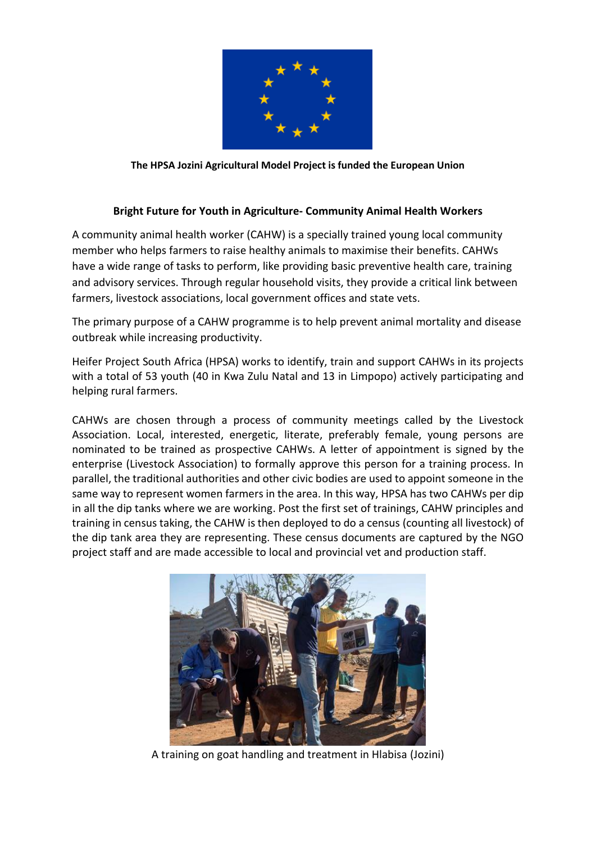

**The HPSA Jozini Agricultural Model Project is funded the European Union**

## **Bright Future for Youth in Agriculture- Community Animal Health Workers**

A community animal health worker (CAHW) is a specially trained young local community member who helps farmers to raise healthy animals to maximise their benefits. CAHWs have a wide range of tasks to perform, like providing basic preventive health care, training and advisory services. Through regular household visits, they provide a critical link between farmers, livestock associations, local government offices and state vets.

The primary purpose of a CAHW programme is to help prevent animal mortality and disease outbreak while increasing productivity.

Heifer Project South Africa (HPSA) works to identify, train and support CAHWs in its projects with a total of 53 youth (40 in Kwa Zulu Natal and 13 in Limpopo) actively participating and helping rural farmers.

CAHWs are chosen through a process of community meetings called by the Livestock Association. Local, interested, energetic, literate, preferably female, young persons are nominated to be trained as prospective CAHWs. A letter of appointment is signed by the enterprise (Livestock Association) to formally approve this person for a training process. In parallel, the traditional authorities and other civic bodies are used to appoint someone in the same way to represent women farmers in the area. In this way, HPSA has two CAHWs per dip in all the dip tanks where we are working. Post the first set of trainings, CAHW principles and training in census taking, the CAHW is then deployed to do a census (counting all livestock) of the dip tank area they are representing. These census documents are captured by the NGO project staff and are made accessible to local and provincial vet and production staff.



A training on goat handling and treatment in Hlabisa (Jozini)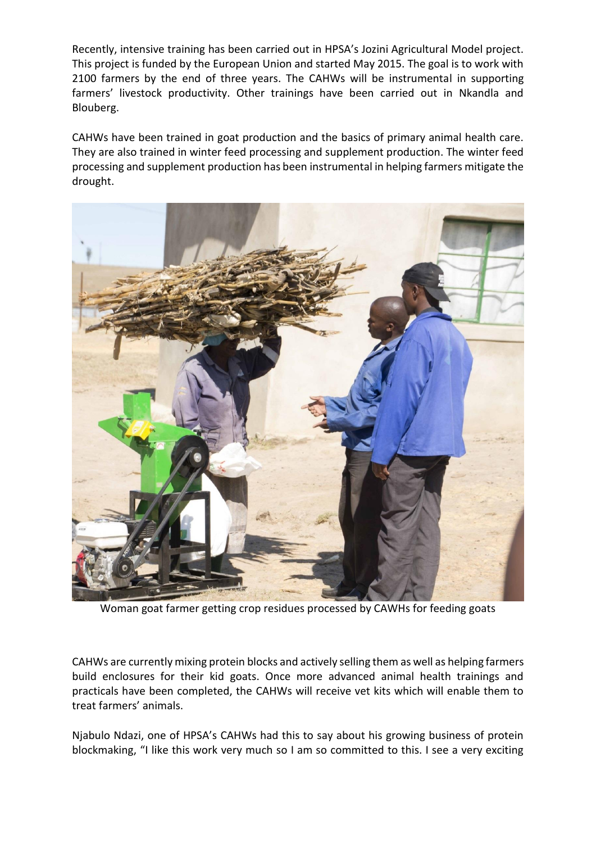Recently, intensive training has been carried out in HPSA's Jozini Agricultural Model project. This project is funded by the European Union and started May 2015. The goal is to work with 2100 farmers by the end of three years. The CAHWs will be instrumental in supporting farmers' livestock productivity. Other trainings have been carried out in Nkandla and Blouberg.

CAHWs have been trained in goat production and the basics of primary animal health care. They are also trained in winter feed processing and supplement production. The winter feed processing and supplement production has been instrumental in helping farmers mitigate the drought.



Woman goat farmer getting crop residues processed by CAWHs for feeding goats

CAHWs are currently mixing protein blocks and actively selling them as well as helping farmers build enclosures for their kid goats. Once more advanced animal health trainings and practicals have been completed, the CAHWs will receive vet kits which will enable them to treat farmers' animals.

Njabulo Ndazi, one of HPSA's CAHWs had this to say about his growing business of protein blockmaking, "I like this work very much so I am so committed to this. I see a very exciting